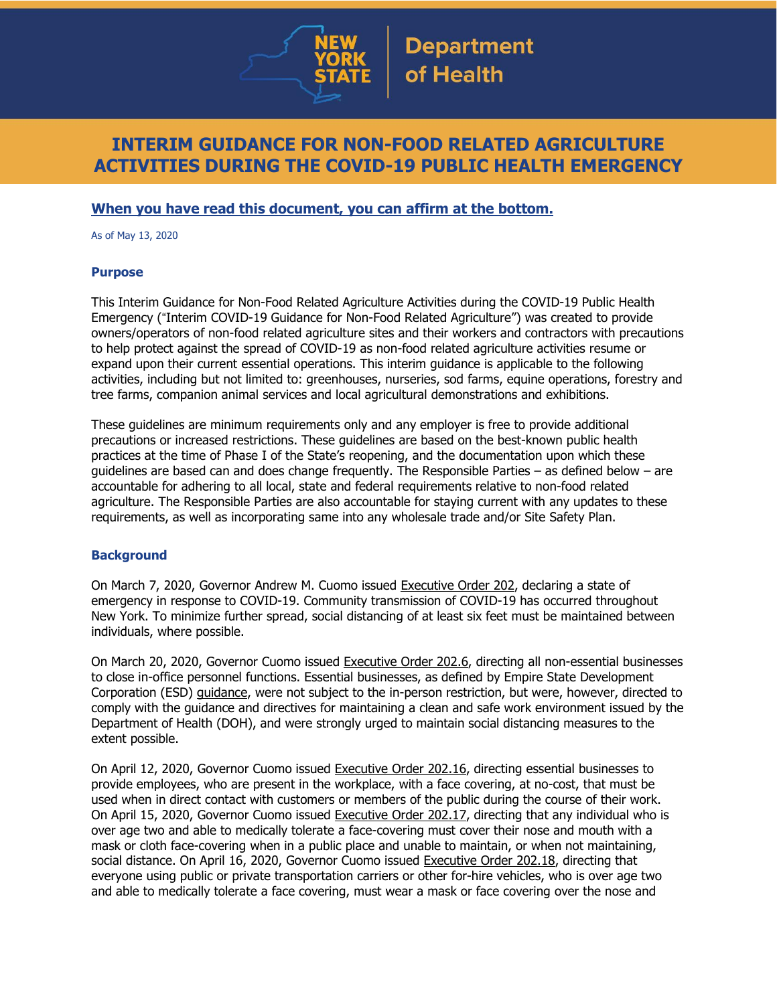

# **INTERIM GUIDANCE FOR NON-FOOD RELATED AGRICULTURE ACTIVITIES DURING THE COVID-19 PUBLIC HEALTH EMERGENCY**

## **When you have read this document, you can affirm at the bottom.**

As of May 13, 2020

#### **Purpose**

This Interim Guidance for Non-Food Related Agriculture Activities during the COVID-19 Public Health Emergency ("Interim COVID-19 Guidance for Non-Food Related Agriculture") was created to provide owners/operators of non-food related agriculture sites and their workers and contractors with precautions to help protect against the spread of COVID-19 as non-food related agriculture activities resume or expand upon their current essential operations. This interim guidance is applicable to the following activities, including but not limited to: greenhouses, nurseries, sod farms, equine operations, forestry and tree farms, companion animal services and local agricultural demonstrations and exhibitions.

These guidelines are minimum requirements only and any employer is free to provide additional precautions or increased restrictions. These guidelines are based on the best-known public health practices at the time of Phase I of the State's reopening, and the documentation upon which these guidelines are based can and does change frequently. The Responsible Parties – as defined below – are accountable for adhering to all local, state and federal requirements relative to non-food related agriculture. The Responsible Parties are also accountable for staying current with any updates to these requirements, as well as incorporating same into any wholesale trade and/or Site Safety Plan.

## **Background**

On March 7, 2020, Governor Andrew M. Cuomo issued [Executive](https://www.governor.ny.gov/news/no-202-declaring-disaster-emergency-state-new-york) Order 202, declaring a state of emergency in response to COVID-19. Community transmission of COVID-19 has occurred throughout New York. To minimize further spread, social distancing of at least six feet must be maintained between individuals, where possible.

On March 20, 2020, Governor Cuomo issued [Executive](https://www.governor.ny.gov/news/no-2026-continuing-temporary-suspension-and-modification-laws-relating-disaster-emergency) Order 202.6, directing all non-essential businesses to close in-office personnel functions. Essential businesses, as defined by Empire State Development Corporation (ESD) [guidance,](https://esd.ny.gov/guidance-executive-order-2026) were not subject to the in-person restriction, but were, however, directed to comply with the guidance and directives for maintaining a clean and safe work environment issued by the Department of Health (DOH), and were strongly urged to maintain social distancing measures to the extent possible.

On April 12, 2020, Governor Cuomo issued [Executive](https://www.governor.ny.gov/news/no-20216-continuing-temporary-suspension-and-modification-laws-relating-disaster-emergency) Order 202.16, directing essential businesses to provide employees, who are present in the workplace, with a face covering, at no-cost, that must be used when in direct contact with customers or members of the public during the course of their work. On April 15, 2020, Governor Cuomo issued [Executive](https://www.governor.ny.gov/news/no-20217-continuing-temporary-suspension-and-modification-laws-relating-disaster-emergency) Order 202.17, directing that any individual who is over age two and able to medically tolerate a face-covering must cover their nose and mouth with a mask or cloth face-covering when in a public place and unable to maintain, or when not maintaining, social distance. On April 16, 2020, Governor Cuomo issued [Executive](https://www.governor.ny.gov/news/no-20218-continuing-temporary-suspension-and-modification-laws-relating-disaster-emergency) Order 202.18, directing that everyone using public or private transportation carriers or other for-hire vehicles, who is over age two and able to medically tolerate a face covering, must wear a mask or face covering over the nose and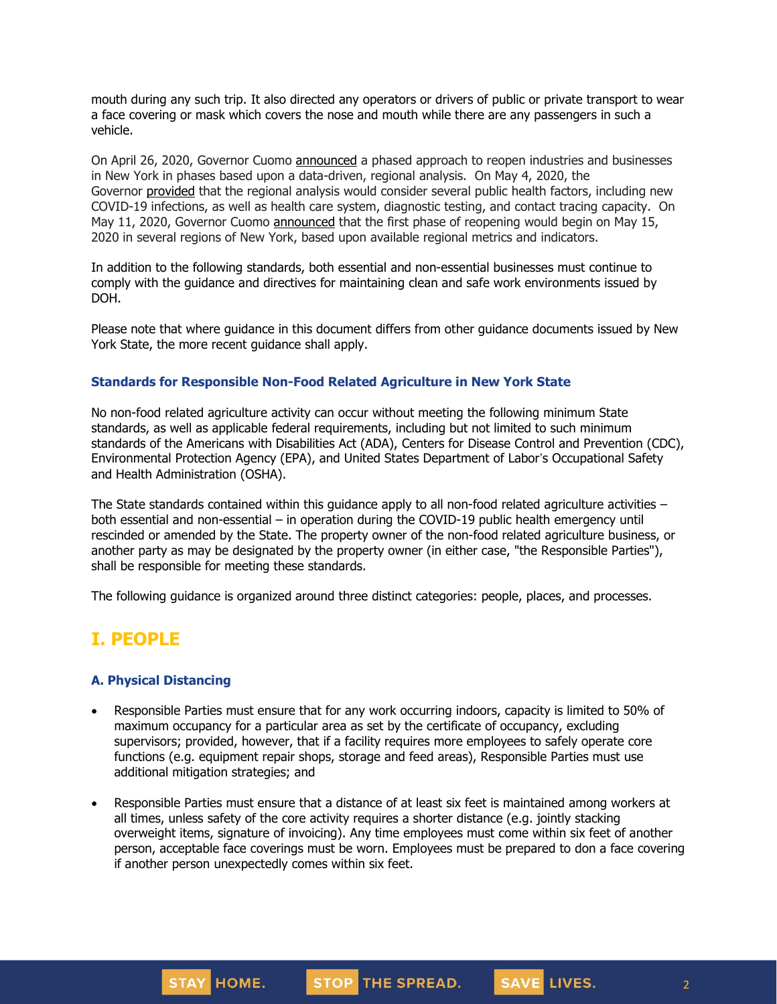mouth during any such trip. It also directed any operators or drivers of public or private transport to wear a face covering or mask which covers the nose and mouth while there are any passengers in such a vehicle.

On April 26, 2020, Governor Cuomo [announced](https://www.governor.ny.gov/news/amid-ongoing-covid-19-pandemic-governor-cuomo-outlines-phased-plan-re-open-new-york-starting) a phased approach to reopen industries and businesses in New York in phases based upon a data-driven, regional analysis. On May 4, 2020, the Governor [provided](https://www.governor.ny.gov/news/amid-ongoing-covid-19-pandemic-governor-cuomo-outlines-additional-guidelines-when-regions-can) that the regional analysis would consider several public health factors, including new COVID-19 infections, as well as health care system, diagnostic testing, and contact tracing capacity. On May 11, 2020, Governor Cuomo [announced](https://www.governor.ny.gov/news/amid-ongoing-covid-19-pandemic-governor-cuomo-announces-three-regions-new-york-state-ready) that the first phase of reopening would begin on May 15, 2020 in several regions of New York, based upon available regional metrics and indicators.

In addition to the following standards, both essential and non-essential businesses must continue to comply with the guidance and directives for maintaining clean and safe work environments issued by DOH.

Please note that where guidance in this document differs from other guidance documents issued by New York State, the more recent guidance shall apply.

#### **Standards for Responsible Non-Food Related Agriculture in New York State**

No non-food related agriculture activity can occur without meeting the following minimum State standards, as well as applicable federal requirements, including but not limited to such minimum standards of the Americans with Disabilities Act (ADA), Centers for Disease Control and Prevention (CDC), Environmental Protection Agency (EPA), and United States Department of Labor's Occupational Safety and Health Administration (OSHA).

The State standards contained within this quidance apply to all non-food related agriculture activities  $$ both essential and non-essential – in operation during the COVID-19 public health emergency until rescinded or amended by the State. The property owner of the non-food related agriculture business, or another party as may be designated by the property owner (in either case, "the Responsible Parties"), shall be responsible for meeting these standards.

The following guidance is organized around three distinct categories: people, places, and processes.

# **I. PEOPLE**

#### **A. Physical Distancing**

- Responsible Parties must ensure that for any work occurring indoors, capacity is limited to 50% of maximum occupancy for a particular area as set by the certificate of occupancy, excluding supervisors; provided, however, that if a facility requires more employees to safely operate core functions (e.g. equipment repair shops, storage and feed areas), Responsible Parties must use additional mitigation strategies; and
- Responsible Parties must ensure that a distance of at least six feet is maintained among workers at all times, unless safety of the core activity requires a shorter distance (e.g. jointly stacking overweight items, signature of invoicing). Any time employees must come within six feet of another person, acceptable face coverings must be worn. Employees must be prepared to don a face covering if another person unexpectedly comes within six feet.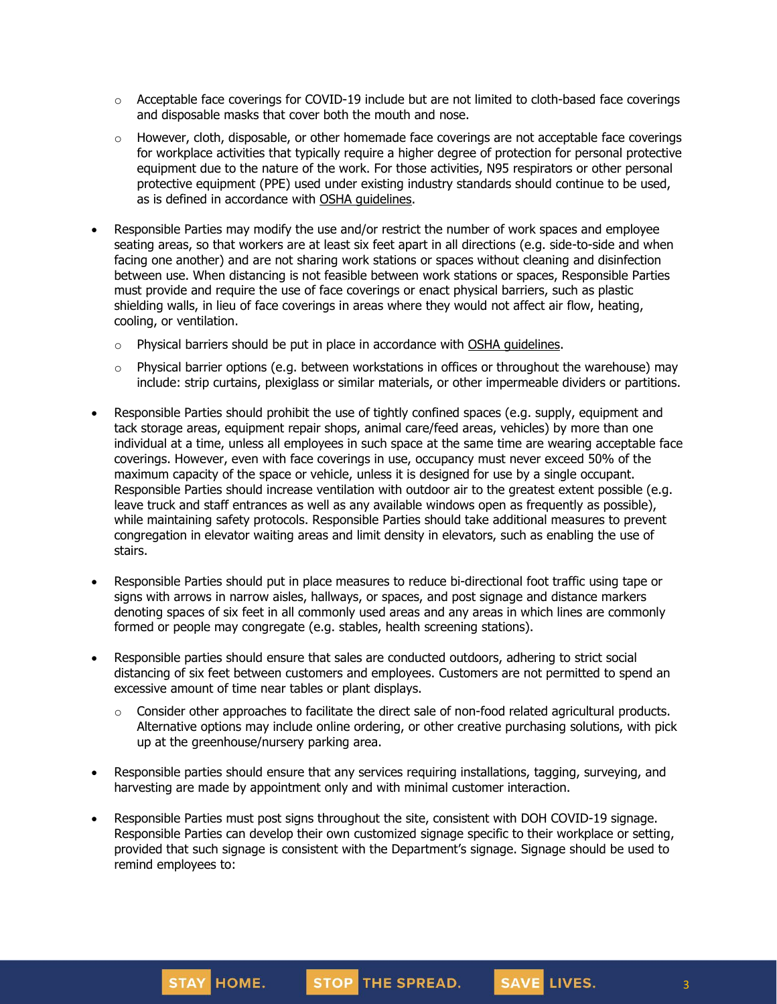- $\circ$  Acceptable face coverings for COVID-19 include but are not limited to cloth-based face coverings and disposable masks that cover both the mouth and nose.
- $\circ$  However, cloth, disposable, or other homemade face coverings are not acceptable face coverings for workplace activities that typically require a higher degree of protection for personal protective equipment due to the nature of the work. For those activities, N95 respirators or other personal protective equipment (PPE) used under existing industry standards should continue to be used, as is defined in accordance with OSHA [guidelines.](https://www.osha.gov/SLTC/personalprotectiveequipment/)
- Responsible Parties may modify the use and/or restrict the number of work spaces and employee seating areas, so that workers are at least six feet apart in all directions (e.g. side-to-side and when facing one another) and are not sharing work stations or spaces without cleaning and disinfection between use. When distancing is not feasible between work stations or spaces, Responsible Parties must provide and require the use of face coverings or enact physical barriers, such as plastic shielding walls, in lieu of face coverings in areas where they would not affect air flow, heating, cooling, or ventilation.
	- $\circ$  Physical barriers should be put in place in accordance with OSHA [guidelines.](https://www.osha.gov/Publications/OSHA3990.pdf)
	- $\circ$  Physical barrier options (e.g. between workstations in offices or throughout the warehouse) may include: strip curtains, plexiglass or similar materials, or other impermeable dividers or partitions.
- Responsible Parties should prohibit the use of tightly confined spaces (e.g. supply, equipment and tack storage areas, equipment repair shops, animal care/feed areas, vehicles) by more than one individual at a time, unless all employees in such space at the same time are wearing acceptable face coverings. However, even with face coverings in use, occupancy must never exceed 50% of the maximum capacity of the space or vehicle, unless it is designed for use by a single occupant. Responsible Parties should increase ventilation with outdoor air to the greatest extent possible (e.g. leave truck and staff entrances as well as any available windows open as frequently as possible), while maintaining safety protocols. Responsible Parties should take additional measures to prevent congregation in elevator waiting areas and limit density in elevators, such as enabling the use of stairs.
- Responsible Parties should put in place measures to reduce bi-directional foot traffic using tape or signs with arrows in narrow aisles, hallways, or spaces, and post signage and distance markers denoting spaces of six feet in all commonly used areas and any areas in which lines are commonly formed or people may congregate (e.g. stables, health screening stations).
- Responsible parties should ensure that sales are conducted outdoors, adhering to strict social distancing of six feet between customers and employees. Customers are not permitted to spend an excessive amount of time near tables or plant displays.
	- o Consider other approaches to facilitate the direct sale of non-food related agricultural products. Alternative options may include online ordering, or other creative purchasing solutions, with pick up at the greenhouse/nursery parking area.
- Responsible parties should ensure that any services requiring installations, tagging, surveying, and harvesting are made by appointment only and with minimal customer interaction.
- Responsible Parties must post signs throughout the site, consistent with DOH COVID-19 signage. Responsible Parties can develop their own customized signage specific to their workplace or setting, provided that such signage is consistent with the Department's signage. Signage should be used to remind employees to:

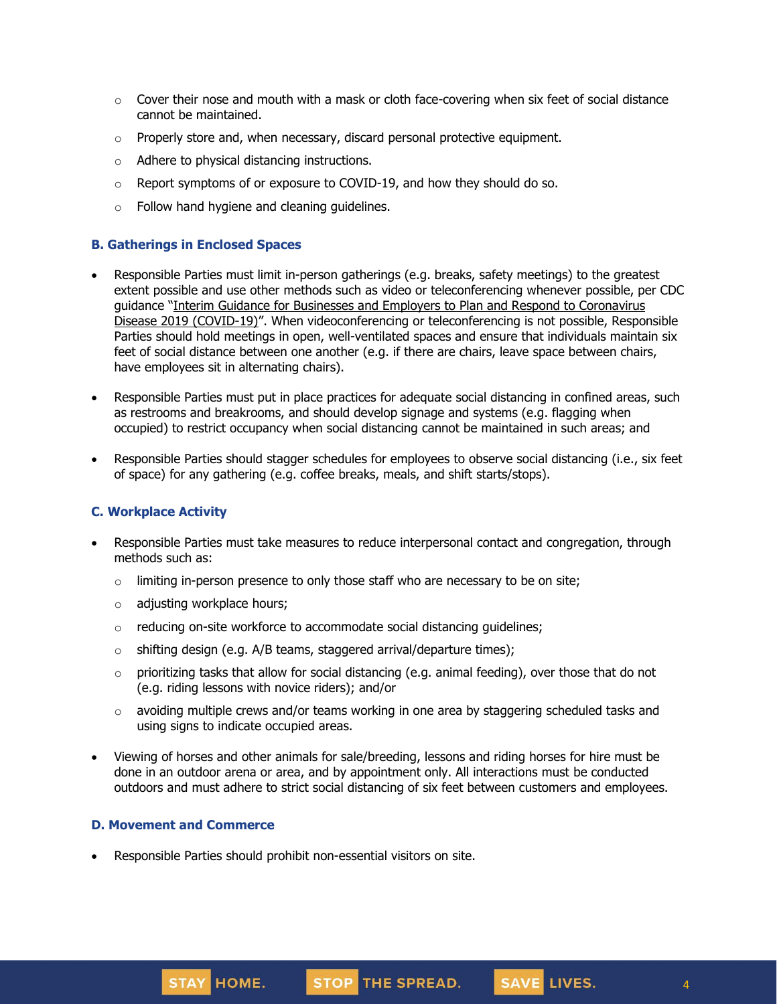- $\circ$  Cover their nose and mouth with a mask or cloth face-covering when six feet of social distance cannot be maintained.
- $\circ$  Properly store and, when necessary, discard personal protective equipment.
- o Adhere to physical distancing instructions.
- $\circ$  Report symptoms of or exposure to COVID-19, and how they should do so.
- o Follow hand hygiene and cleaning guidelines.

## **B. Gatherings in Enclosed Spaces**

- Responsible Parties must limit in-person gatherings (e.g. breaks, safety meetings) to the greatest extent possible and use other methods such as video or teleconferencing whenever possible, per CDC guidance "Interim Guidance for Businesses and Employers to Plan and Respond to [Coronavirus](https://www.cdc.gov/coronavirus/2019-ncov/community/guidance-business-response.html) Disease 2019 [\(COVID-19\)](https://www.cdc.gov/coronavirus/2019-ncov/community/guidance-business-response.html)". When videoconferencing or teleconferencing is not possible, Responsible Parties should hold meetings in open, well-ventilated spaces and ensure that individuals maintain six feet of social distance between one another (e.g. if there are chairs, leave space between chairs, have employees sit in alternating chairs).
- Responsible Parties must put in place practices for adequate social distancing in confined areas, such as restrooms and breakrooms, and should develop signage and systems (e.g. flagging when occupied) to restrict occupancy when social distancing cannot be maintained in such areas; and
- Responsible Parties should stagger schedules for employees to observe social distancing (i.e., six feet of space) for any gathering (e.g. coffee breaks, meals, and shift starts/stops).

## **C. Workplace Activity**

- Responsible Parties must take measures to reduce interpersonal contact and congregation, through methods such as:
	- $\circ$  limiting in-person presence to only those staff who are necessary to be on site;
	- o adjusting workplace hours;
	- o reducing on-site workforce to accommodate social distancing guidelines;
	- $\circ$  shifting design (e.g. A/B teams, staggered arrival/departure times);
	- $\circ$  prioritizing tasks that allow for social distancing (e.g. animal feeding), over those that do not (e.g. riding lessons with novice riders); and/or
	- o avoiding multiple crews and/or teams working in one area by staggering scheduled tasks and using signs to indicate occupied areas.
- Viewing of horses and other animals for sale/breeding, lessons and riding horses for hire must be done in an outdoor arena or area, and by appointment only. All interactions must be conducted outdoors and must adhere to strict social distancing of six feet between customers and employees.

## **D. Movement and Commerce**

• Responsible Parties should prohibit non-essential visitors on site.

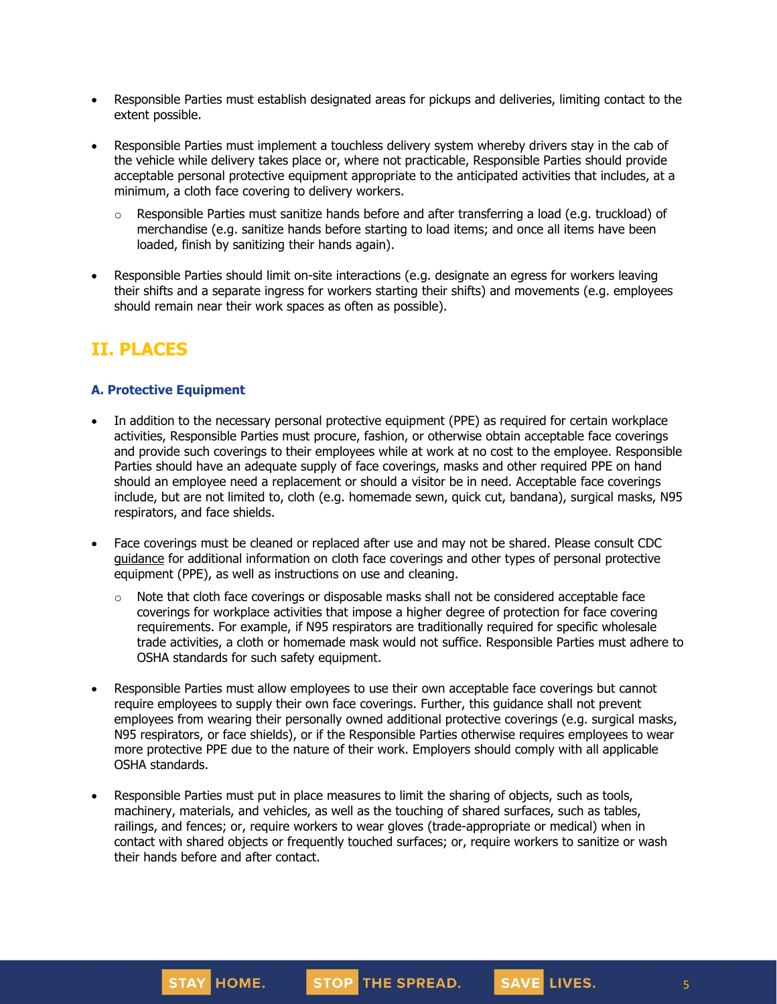- Responsible Parties must establish designated areas for pickups and deliveries, limiting contact to the extent possible.
- Responsible Parties must implement a touchless delivery system whereby drivers stay in the cab of the vehicle while delivery takes place or, where not practicable, Responsible Parties should provide acceptable personal protective equipment appropriate to the anticipated activities that includes, at a minimum, a cloth face covering to delivery workers.
	- $\circ$  Responsible Parties must sanitize hands before and after transferring a load (e.g. truckload) of merchandise (e.g. sanitize hands before starting to load items; and once all items have been loaded, finish by sanitizing their hands again).
- Responsible Parties should limit on-site interactions (e.g. designate an egress for workers leaving their shifts and a separate ingress for workers starting their shifts) and movements (e.g. employees should remain near their work spaces as often as possible).

# **II. PLACES**

## **A. Protective Equipment**

- In addition to the necessary personal protective equipment (PPE) as required for certain workplace activities, Responsible Parties must procure, fashion, or otherwise obtain acceptable face coverings and provide such coverings to their employees while at work at no cost to the employee. Responsible Parties should have an adequate supply of face coverings, masks and other required PPE on hand should an employee need a replacement or should a visitor be in need. Acceptable face coverings include, but are not limited to, cloth (e.g. homemade sewn, quick cut, bandana), surgical masks, N95 respirators, and face shields.
- Face coverings must be cleaned or replaced after use and may not be shared. Please consult CDC [guidance](https://www.cdc.gov/coronavirus/2019-ncov/community/guidance-business-response.html) for additional information on cloth face coverings and other types of personal protective equipment (PPE), as well as instructions on use and cleaning.
	- $\circ$  Note that cloth face coverings or disposable masks shall not be considered acceptable face coverings for workplace activities that impose a higher degree of protection for face covering requirements. For example, if N95 respirators are traditionally required for specific wholesale trade activities, a cloth or homemade mask would not suffice. Responsible Parties must adhere to OSHA standards for such safety equipment.
- Responsible Parties must allow employees to use their own acceptable face coverings but cannot require employees to supply their own face coverings. Further, this guidance shall not prevent employees from wearing their personally owned additional protective coverings (e.g. surgical masks, N95 respirators, or face shields), or if the Responsible Parties otherwise requires employees to wear more protective PPE due to the nature of their work. Employers should comply with all applicable OSHA standards.
- Responsible Parties must put in place measures to limit the sharing of objects, such as tools, machinery, materials, and vehicles, as well as the touching of shared surfaces, such as tables, railings, and fences; or, require workers to wear gloves (trade-appropriate or medical) when in contact with shared objects or frequently touched surfaces; or, require workers to sanitize or wash their hands before and after contact.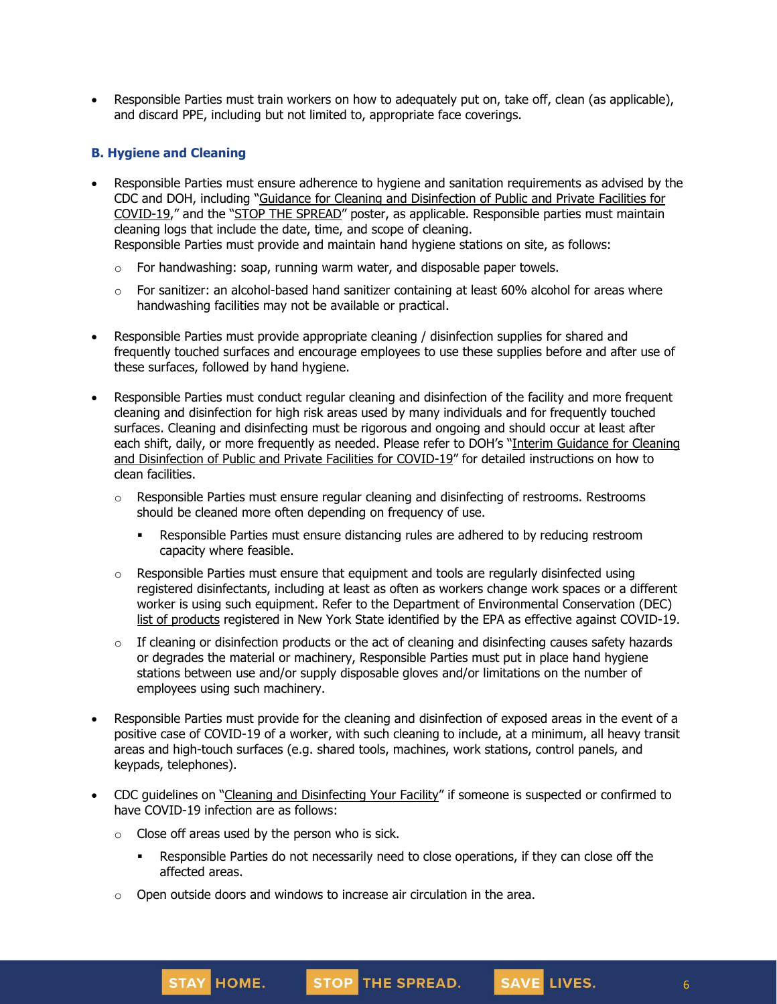• Responsible Parties must train workers on how to adequately put on, take off, clean (as applicable), and discard PPE, including but not limited to, appropriate face coverings.

## **B. Hygiene and Cleaning**

- Responsible Parties must ensure adherence to hygiene and sanitation requirements as advised by the CDC and DOH, including "Guidance for Cleaning and [Disinfection](https://coronavirus.health.ny.gov/system/files/documents/2020/03/cleaning_guidance_general_building.pdf) of Public and Private Facilities for [COVID-19](https://coronavirus.health.ny.gov/system/files/documents/2020/03/cleaning_guidance_general_building.pdf)," and the "STOP THE [SPREAD](https://coronavirus.health.ny.gov/system/files/documents/2020/04/13067_coronavirus_protectyourself_poster_042020.pdf)" poster, as applicable. Responsible parties must maintain cleaning logs that include the date, time, and scope of cleaning. Responsible Parties must provide and maintain hand hygiene stations on site, as follows:
	- $\circ$  For handwashing: soap, running warm water, and disposable paper towels.
	- $\circ$  For sanitizer: an alcohol-based hand sanitizer containing at least 60% alcohol for areas where handwashing facilities may not be available or practical.
- Responsible Parties must provide appropriate cleaning / disinfection supplies for shared and frequently touched surfaces and encourage employees to use these supplies before and after use of these surfaces, followed by hand hygiene.
- Responsible Parties must conduct regular cleaning and disinfection of the facility and more frequent cleaning and disinfection for high risk areas used by many individuals and for frequently touched surfaces. Cleaning and disinfecting must be rigorous and ongoing and should occur at least after each shift, daily, or more frequently as needed. Please refer to DOH's "Interim [Guidance](https://coronavirus.health.ny.gov/system/files/documents/2020/03/cleaning_guidance_general_building.pdf) for Cleaning and [Disinfection](https://coronavirus.health.ny.gov/system/files/documents/2020/03/cleaning_guidance_general_building.pdf) of Public and Private Facilities for COVID-19" for detailed instructions on how to clean facilities.
	- $\circ$  Responsible Parties must ensure regular cleaning and disinfecting of restrooms. Restrooms should be cleaned more often depending on frequency of use.
		- **Responsible Parties must ensure distancing rules are adhered to by reducing restroom** capacity where feasible.
	- $\circ$  Responsible Parties must ensure that equipment and tools are regularly disinfected using registered disinfectants, including at least as often as workers change work spaces or a different worker is using such equipment. Refer to the Department of Environmental Conservation (DEC) list of [products](http://www.dec.ny.gov/docs/materials_minerals_pdf/covid19.pdf) registered in New York State identified by the EPA as effective against COVID-19.
	- $\circ$  If cleaning or disinfection products or the act of cleaning and disinfecting causes safety hazards or degrades the material or machinery, Responsible Parties must put in place hand hygiene stations between use and/or supply disposable gloves and/or limitations on the number of employees using such machinery.
- Responsible Parties must provide for the cleaning and disinfection of exposed areas in the event of a positive case of COVID-19 of a worker, with such cleaning to include, at a minimum, all heavy transit areas and high-touch surfaces (e.g. shared tools, machines, work stations, control panels, and keypads, telephones).
- CDC guidelines on "Cleaning and [Disinfecting](https://www.cdc.gov/coronavirus/2019-ncov/community/disinfecting-building-facility.html) Your Facility" if someone is suspected or confirmed to have COVID-19 infection are as follows:
	- $\circ$  Close off areas used by the person who is sick.
		- **•** Responsible Parties do not necessarily need to close operations, if they can close off the affected areas.
	- $\circ$  Open outside doors and windows to increase air circulation in the area.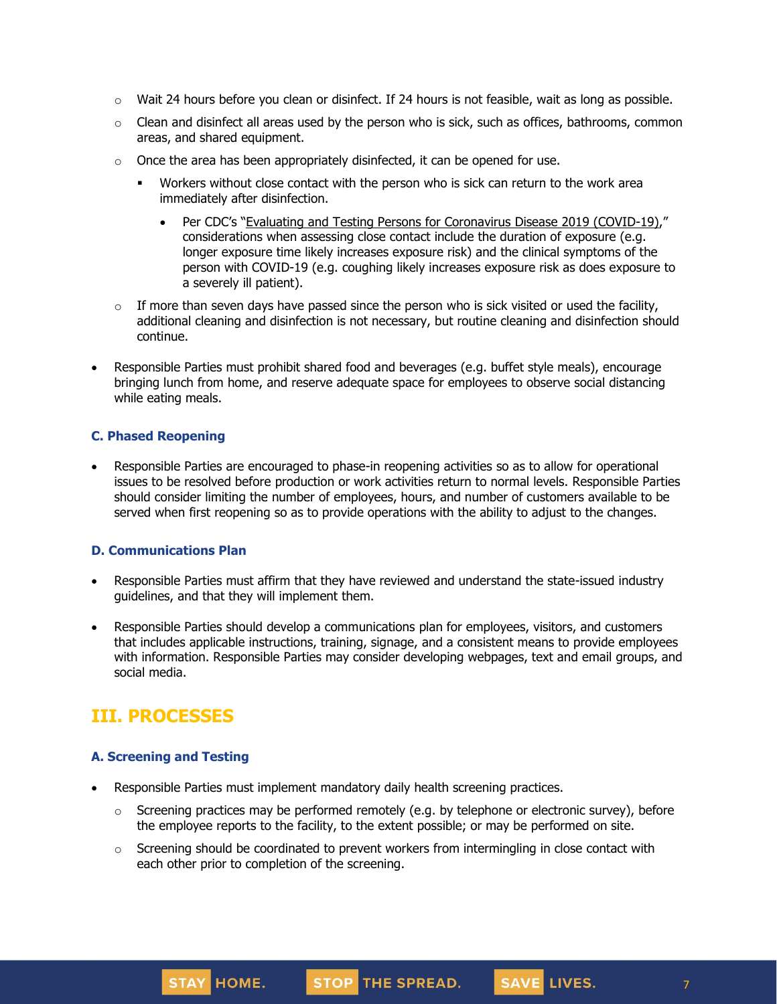- $\circ$  Wait 24 hours before you clean or disinfect. If 24 hours is not feasible, wait as long as possible.
- $\circ$  Clean and disinfect all areas used by the person who is sick, such as offices, bathrooms, common areas, and shared equipment.
- $\circ$  Once the area has been appropriately disinfected, it can be opened for use.
	- **■** Workers without close contact with the person who is sick can return to the work area immediately after disinfection.
		- Per CDC's "Evaluating and Testing Persons for [Coronavirus](https://www.cdc.gov/coronavirus/2019-ncov/hcp/clinical-criteria.html) Disease 2019 (COVID-19)," considerations when assessing close contact include the duration of exposure (e.g. longer exposure time likely increases exposure risk) and the clinical symptoms of the person with COVID-19 (e.g. coughing likely increases exposure risk as does exposure to a severely ill patient).
- $\circ$  If more than seven days have passed since the person who is sick visited or used the facility, additional cleaning and disinfection is not necessary, but routine cleaning and disinfection should continue.
- Responsible Parties must prohibit shared food and beverages (e.g. buffet style meals), encourage bringing lunch from home, and reserve adequate space for employees to observe social distancing while eating meals.

#### **C. Phased Reopening**

• Responsible Parties are encouraged to phase-in reopening activities so as to allow for operational issues to be resolved before production or work activities return to normal levels. Responsible Parties should consider limiting the number of employees, hours, and number of customers available to be served when first reopening so as to provide operations with the ability to adjust to the changes.

#### **D. Communications Plan**

- Responsible Parties must affirm that they have reviewed and understand the state-issued industry guidelines, and that they will implement them.
- Responsible Parties should develop a communications plan for employees, visitors, and customers that includes applicable instructions, training, signage, and a consistent means to provide employees with information. Responsible Parties may consider developing webpages, text and email groups, and social media.

## **III. PROCESSES**

## **A. Screening and Testing**

STAY HOME.

- Responsible Parties must implement mandatory daily health screening practices.
	- $\circ$  Screening practices may be performed remotely (e.g. by telephone or electronic survey), before the employee reports to the facility, to the extent possible; or may be performed on site.

STOP THE SPREAD.

SAVE LIVES.

 $\circ$  Screening should be coordinated to prevent workers from intermingling in close contact with each other prior to completion of the screening.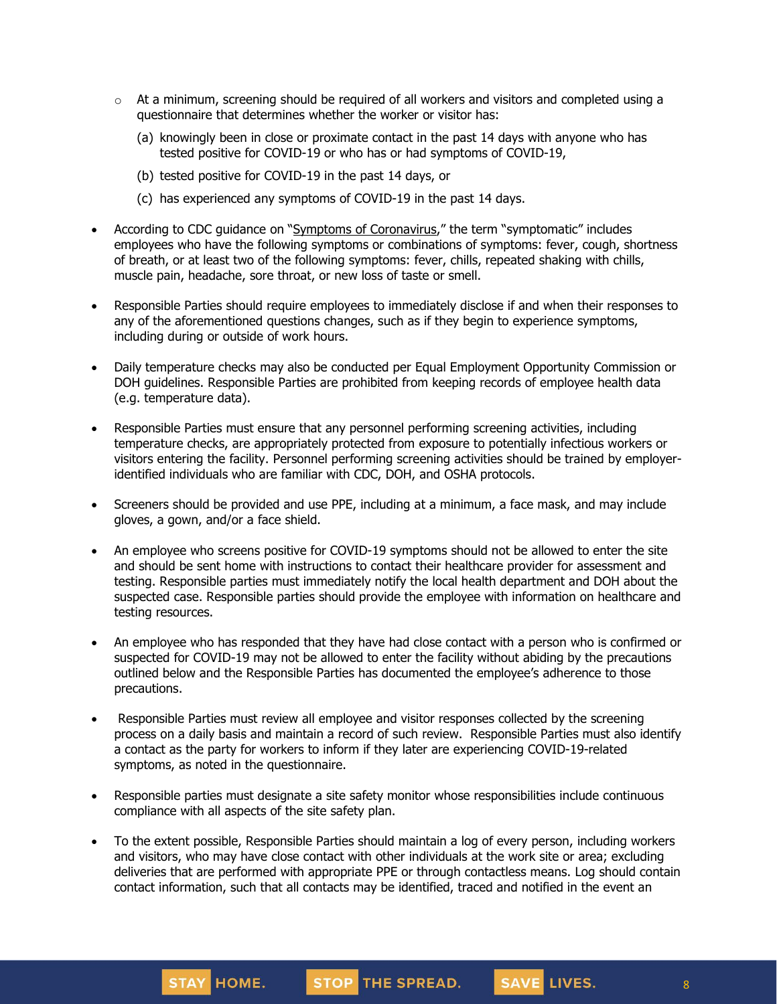- $\circ$  At a minimum, screening should be required of all workers and visitors and completed using a questionnaire that determines whether the worker or visitor has:
	- (a) knowingly been in close or proximate contact in the past 14 days with anyone who has tested positive for COVID-19 or who has or had symptoms of COVID-19,
	- (b) tested positive for COVID-19 in the past 14 days, or
	- (c) has experienced any symptoms of COVID-19 in the past 14 days.
- According to CDC guidance on "Symptoms of [Coronavirus](https://www.cdc.gov/coronavirus/2019-ncov/symptoms-testing/symptoms.html)," the term "symptomatic" includes employees who have the following symptoms or combinations of symptoms: fever, cough, shortness of breath, or at least two of the following symptoms: fever, chills, repeated shaking with chills, muscle pain, headache, sore throat, or new loss of taste or smell.
- Responsible Parties should require employees to immediately disclose if and when their responses to any of the aforementioned questions changes, such as if they begin to experience symptoms, including during or outside of work hours.
- Daily temperature checks may also be conducted per Equal Employment Opportunity Commission or DOH guidelines. Responsible Parties are prohibited from keeping records of employee health data (e.g. temperature data).
- Responsible Parties must ensure that any personnel performing screening activities, including temperature checks, are appropriately protected from exposure to potentially infectious workers or visitors entering the facility. Personnel performing screening activities should be trained by employeridentified individuals who are familiar with CDC, DOH, and OSHA protocols.
- Screeners should be provided and use PPE, including at a minimum, a face mask, and may include gloves, a gown, and/or a face shield.
- An employee who screens positive for COVID-19 symptoms should not be allowed to enter the site and should be sent home with instructions to contact their healthcare provider for assessment and testing. Responsible parties must immediately notify the local health department and DOH about the suspected case. Responsible parties should provide the employee with information on healthcare and testing resources.
- An employee who has responded that they have had close contact with a person who is confirmed or suspected for COVID-19 may not be allowed to enter the facility without abiding by the precautions outlined below and the Responsible Parties has documented the employee's adherence to those precautions.
- Responsible Parties must review all employee and visitor responses collected by the screening process on a daily basis and maintain a record of such review. Responsible Parties must also identify a contact as the party for workers to inform if they later are experiencing COVID-19-related symptoms, as noted in the questionnaire.
- Responsible parties must designate a site safety monitor whose responsibilities include continuous compliance with all aspects of the site safety plan.
- To the extent possible, Responsible Parties should maintain a log of every person, including workers and visitors, who may have close contact with other individuals at the work site or area; excluding deliveries that are performed with appropriate PPE or through contactless means. Log should contain contact information, such that all contacts may be identified, traced and notified in the event an

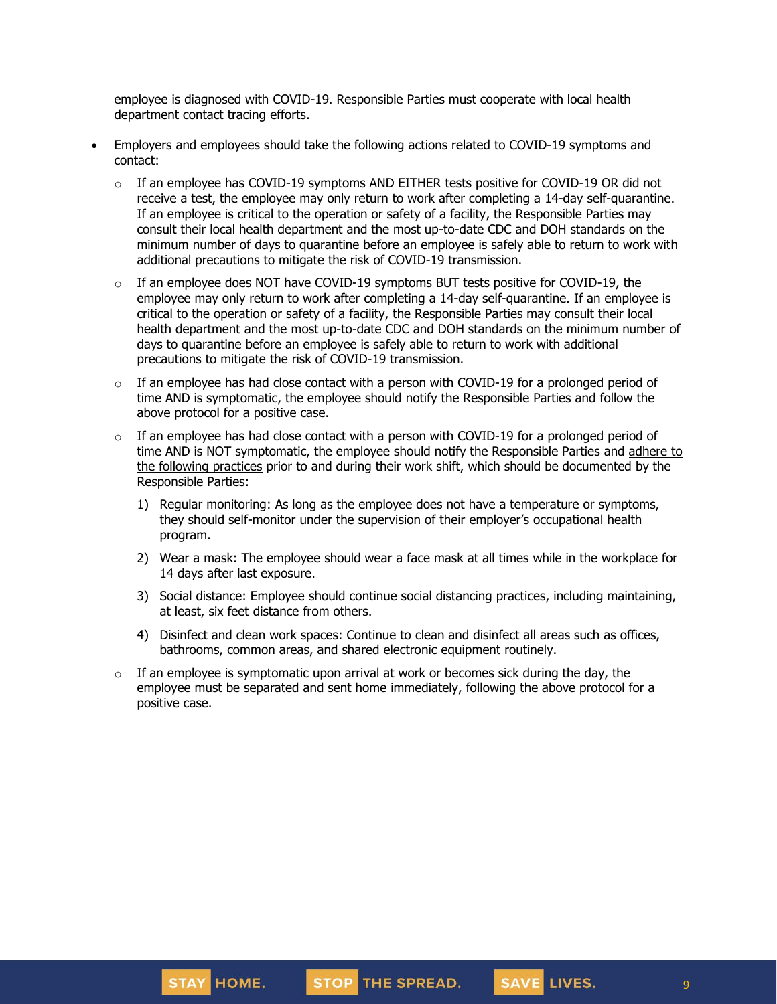employee is diagnosed with COVID-19. Responsible Parties must cooperate with local health department contact tracing efforts.

- Employers and employees should take the following actions related to COVID-19 symptoms and contact:
	- $\circ$  If an employee has COVID-19 symptoms AND EITHER tests positive for COVID-19 OR did not receive a test, the employee may only [return](https://www.cdc.gov/coronavirus/2019-ncov/hcp/return-to-work.html) to work after completing a 14-day self-quarantine. If an employee is critical to the operation or safety of a facility, the Responsible Parties may consult their local health department and the most up-to-date CDC and DOH standards on the minimum number of days to quarantine before an employee is safely able to return to work with additional precautions to mitigate the risk of COVID-19 transmission.
	- $\circ$  If an employee does NOT have COVID-19 symptoms BUT tests positive for COVID-19, the employee may only return to work after completing a 14-day self-quarantine. If an employee is critical to the operation or safety of a facility, the Responsible Parties may consult their local health department and the most up-to-date CDC and DOH standards on the minimum number of days to quarantine before an employee is safely able to return to work with additional precautions to mitigate the risk of COVID-19 transmission.
	- $\circ$  If an employee has had close contact with a person with COVID-19 for a prolonged period of time AND is symptomatic, the employee should notify the Responsible Parties and follow the above protocol for a positive case.
	- $\circ$  If an employee has had close contact with a person with COVID-19 for a prolonged period of time AND is NOT symptomatic, the employee should notify the Responsible Parties and [adhere](https://www.cdc.gov/coronavirus/2019-ncov/community/critical-workers/implementing-safety-practices.html) to the [following](https://www.cdc.gov/coronavirus/2019-ncov/community/critical-workers/implementing-safety-practices.html) practices prior to and during their work shift, which should be documented by the Responsible Parties:
		- 1) Regular monitoring: As long as the employee does not have a temperature or symptoms, they should self-monitor under the supervision of their employer's occupational health program.
		- 2) Wear a mask: The employee should wear a face mask at all times while in the workplace for 14 days after last exposure.
		- 3) Social distance: Employee should continue social distancing practices, including maintaining, at least, six feet distance from others.
		- 4) Disinfect and clean work spaces: Continue to clean and disinfect all areas such as offices, bathrooms, common areas, and shared electronic equipment routinely.
	- $\circ$  If an employee is symptomatic upon arrival at work or becomes sick during the day, the employee must be separated and sent home immediately, following the above protocol for a positive case.